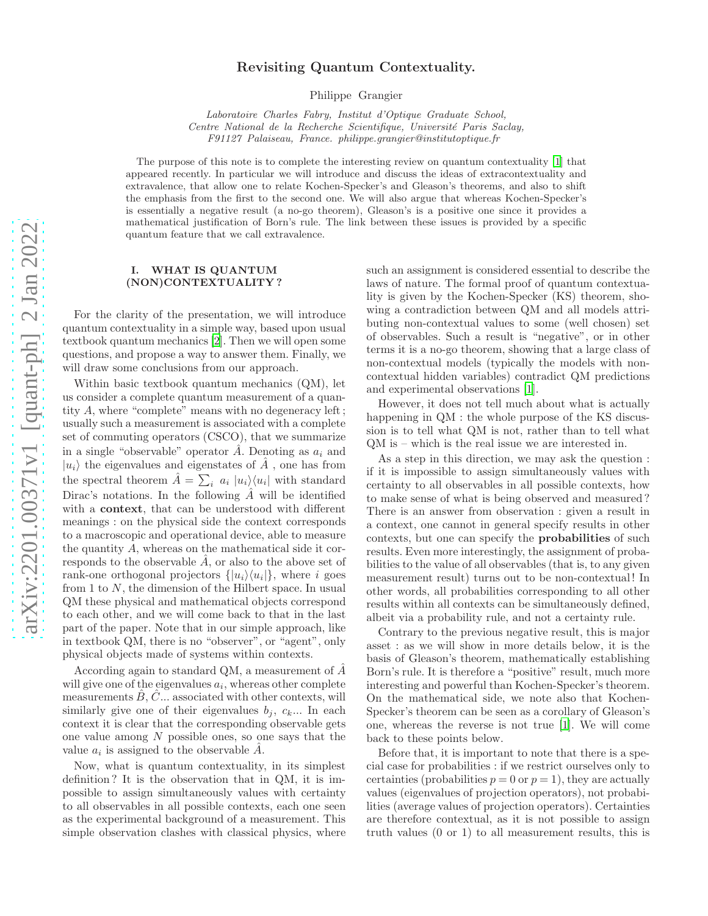# arXiv:2201.00371v1 [quant-ph] 2 Jan 2022 [arXiv:2201.00371v1 \[quant-ph\] 2 Jan 2022](http://arxiv.org/abs/2201.00371v1)

# Revisiting Quantum Contextuality.

Philippe Grangier

Laboratoire Charles Fabry, Institut d'Optique Graduate School, Centre National de la Recherche Scientifique, Université Paris Saclay, F91127 Palaiseau, France. philippe.grangier@institutoptique.fr

The purpose of this note is to complete the interesting review on quantum contextuality [\[1\]](#page-3-0) that appeared recently. In particular we will introduce and discuss the ideas of extracontextuality and extravalence, that allow one to relate Kochen-Specker's and Gleason's theorems, and also to shift the emphasis from the first to the second one. We will also argue that whereas Kochen-Specker's is essentially a negative result (a no-go theorem), Gleason's is a positive one since it provides a mathematical justification of Born's rule. The link between these issues is provided by a specific quantum feature that we call extravalence.

### I. WHAT IS QUANTUM (NON)CONTEXTUALITY ?

For the clarity of the presentation, we will introduce quantum contextuality in a simple way, based upon usual textbook quantum mechanics [\[2](#page-3-1)]. Then we will open some questions, and propose a way to answer them. Finally, we will draw some conclusions from our approach.

Within basic textbook quantum mechanics (QM), let us consider a complete quantum measurement of a quantity A, where "complete" means with no degeneracy left ; usually such a measurement is associated with a complete set of commuting operators (CSCO), that we summarize in a single "observable" operator  $\hat{A}$ . Denoting as  $a_i$  and  $|u_i\rangle$  the eigenvalues and eigenstates of  $\hat{A}$ , one has from the spectral theorem  $\hat{A} = \sum_i a_i |u_i\rangle\langle u_i|$  with standard Dirac's notations. In the following  $\tilde{A}$  will be identified with a **context**, that can be understood with different meanings : on the physical side the context corresponds to a macroscopic and operational device, able to measure the quantity A, whereas on the mathematical side it corresponds to the observable  $\ddot{A}$ , or also to the above set of rank-one orthogonal projectors  $\{|u_i\rangle\langle u_i|\}$ , where i goes from 1 to N, the dimension of the Hilbert space. In usual QM these physical and mathematical objects correspond to each other, and we will come back to that in the last part of the paper. Note that in our simple approach, like in textbook QM, there is no "observer", or "agent", only physical objects made of systems within contexts.

According again to standard QM, a measurement of  $A$ will give one of the eigenvalues  $a_i$ , whereas other complete measurements  $\ddot{B}, \ddot{C}...$  associated with other contexts, will similarly give one of their eigenvalues  $b_i, c_k...$  In each context it is clear that the corresponding observable gets one value among N possible ones, so one says that the value  $a_i$  is assigned to the observable  $\hat{A}$ .

Now, what is quantum contextuality, in its simplest definition ? It is the observation that in QM, it is impossible to assign simultaneously values with certainty to all observables in all possible contexts, each one seen as the experimental background of a measurement. This simple observation clashes with classical physics, where such an assignment is considered essential to describe the laws of nature. The formal proof of quantum contextuality is given by the Kochen-Specker (KS) theorem, showing a contradiction between QM and all models attributing non-contextual values to some (well chosen) set of observables. Such a result is "negative", or in other terms it is a no-go theorem, showing that a large class of non-contextual models (typically the models with noncontextual hidden variables) contradict QM predictions and experimental observations [\[1\]](#page-3-0).

However, it does not tell much about what is actually happening in QM : the whole purpose of the KS discussion is to tell what QM is not, rather than to tell what QM is – which is the real issue we are interested in.

As a step in this direction, we may ask the question : if it is impossible to assign simultaneously values with certainty to all observables in all possible contexts, how to make sense of what is being observed and measured ? There is an answer from observation : given a result in a context, one cannot in general specify results in other contexts, but one can specify the probabilities of such results. Even more interestingly, the assignment of probabilities to the value of all observables (that is, to any given measurement result) turns out to be non-contextual! In other words, all probabilities corresponding to all other results within all contexts can be simultaneously defined, albeit via a probability rule, and not a certainty rule.

Contrary to the previous negative result, this is major asset : as we will show in more details below, it is the basis of Gleason's theorem, mathematically establishing Born's rule. It is therefore a "positive" result, much more interesting and powerful than Kochen-Specker's theorem. On the mathematical side, we note also that Kochen-Specker's theorem can be seen as a corollary of Gleason's one, whereas the reverse is not true [\[1\]](#page-3-0). We will come back to these points below.

Before that, it is important to note that there is a special case for probabilities : if we restrict ourselves only to certainties (probabilities  $p = 0$  or  $p = 1$ ), they are actually values (eigenvalues of projection operators), not probabilities (average values of projection operators). Certainties are therefore contextual, as it is not possible to assign truth values (0 or 1) to all measurement results, this is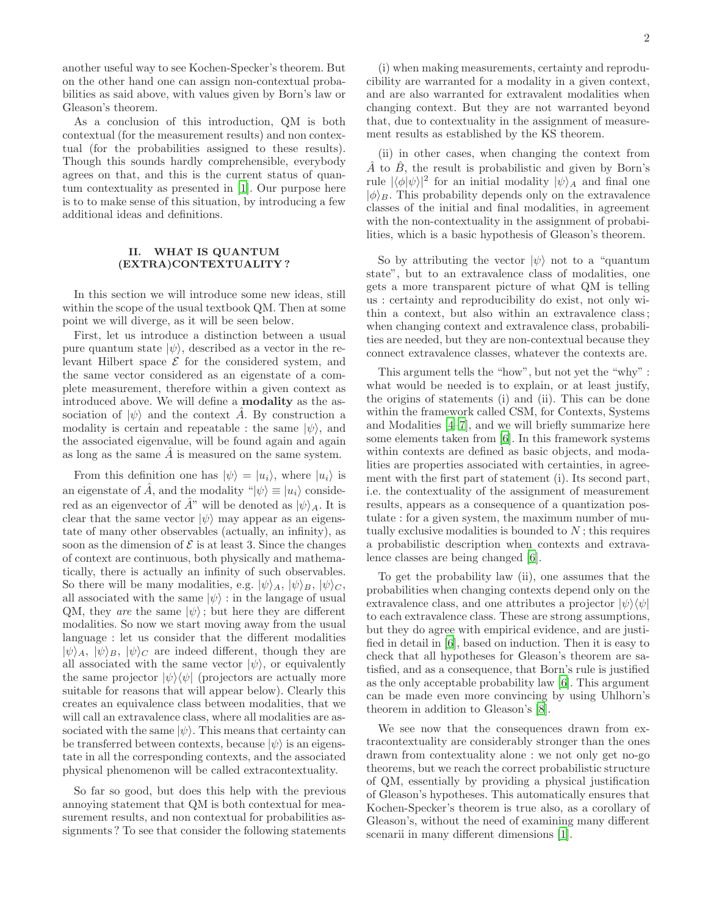another useful way to see Kochen-Specker's theorem. But on the other hand one can assign non-contextual probabilities as said above, with values given by Born's law or Gleason's theorem.

As a conclusion of this introduction, QM is both contextual (for the measurement results) and non contextual (for the probabilities assigned to these results). Though this sounds hardly comprehensible, everybody agrees on that, and this is the current status of quantum contextuality as presented in [\[1](#page-3-0)]. Our purpose here is to to make sense of this situation, by introducing a few additional ideas and definitions.

## II. WHAT IS QUANTUM (EXTRA)CONTEXTUALITY ?

In this section we will introduce some new ideas, still within the scope of the usual textbook QM. Then at some point we will diverge, as it will be seen below.

First, let us introduce a distinction between a usual pure quantum state  $|\psi\rangle$ , described as a vector in the relevant Hilbert space  $\mathcal E$  for the considered system, and the same vector considered as an eigenstate of a complete measurement, therefore within a given context as introduced above. We will define a modality as the association of  $|\psi\rangle$  and the context A. By construction a modality is certain and repeatable : the same  $|\psi\rangle$ , and the associated eigenvalue, will be found again and again as long as the same  $A$  is measured on the same system.

From this definition one has  $|\psi\rangle = |u_i\rangle$ , where  $|u_i\rangle$  is an eigenstate of  $\tilde{A}$ , and the modality " $|\psi\rangle \equiv |u_i\rangle$  considered as an eigenvector of  $\hat{A}^{\prime\prime}$  will be denoted as  $|\psi\rangle_A$ . It is clear that the same vector  $|\psi\rangle$  may appear as an eigenstate of many other observables (actually, an infinity), as soon as the dimension of  $\mathcal E$  is at least 3. Since the changes of context are continuous, both physically and mathematically, there is actually an infinity of such observables. So there will be many modalities, e.g.  $|\psi\rangle_A$ ,  $|\psi\rangle_B$ ,  $|\psi\rangle_C$ , all associated with the same  $|\psi\rangle$ : in the langage of usual QM, they are the same  $|\psi\rangle$ ; but here they are different modalities. So now we start moving away from the usual language : let us consider that the different modalities  $|\psi\rangle_A, |\psi\rangle_B, |\psi\rangle_C$  are indeed different, though they are all associated with the same vector  $|\psi\rangle$ , or equivalently the same projector  $|\psi\rangle\langle\psi|$  (projectors are actually more suitable for reasons that will appear below). Clearly this creates an equivalence class between modalities, that we will call an extravalence class, where all modalities are associated with the same  $|\psi\rangle$ . This means that certainty can be transferred between contexts, because  $|\psi\rangle$  is an eigenstate in all the corresponding contexts, and the associated physical phenomenon will be called extracontextuality.

So far so good, but does this help with the previous annoying statement that QM is both contextual for measurement results, and non contextual for probabilities assignments ? To see that consider the following statements

(i) when making measurements, certainty and reproducibility are warranted for a modality in a given context, and are also warranted for extravalent modalities when changing context. But they are not warranted beyond that, due to contextuality in the assignment of measurement results as established by the KS theorem.

(ii) in other cases, when changing the context from  $\hat{A}$  to  $\hat{B}$ , the result is probabilistic and given by Born's rule  $|\langle \phi | \psi \rangle|^2$  for an initial modality  $|\psi\rangle_A$  and final one  $|\phi\rangle_B$ . This probability depends only on the extravalence classes of the initial and final modalities, in agreement with the non-contextuality in the assignment of probabilities, which is a basic hypothesis of Gleason's theorem.

So by attributing the vector  $|\psi\rangle$  not to a "quantum" state", but to an extravalence class of modalities, one gets a more transparent picture of what QM is telling us : certainty and reproducibility do exist, not only within a context, but also within an extravalence class ; when changing context and extravalence class, probabilities are needed, but they are non-contextual because they connect extravalence classes, whatever the contexts are.

This argument tells the "how", but not yet the "why" : what would be needed is to explain, or at least justify, the origins of statements (i) and (ii). This can be done within the framework called CSM, for Contexts, Systems and Modalities [\[4](#page-3-2)[–7\]](#page-3-3), and we will briefly summarize here some elements taken from [\[6\]](#page-3-4). In this framework systems within contexts are defined as basic objects, and modalities are properties associated with certainties, in agreement with the first part of statement (i). Its second part, i.e. the contextuality of the assignment of measurement results, appears as a consequence of a quantization postulate : for a given system, the maximum number of mutually exclusive modalities is bounded to  $N$ ; this requires a probabilistic description when contexts and extravalence classes are being changed [\[6](#page-3-4)].

To get the probability law (ii), one assumes that the probabilities when changing contexts depend only on the extravalence class, and one attributes a projector  $|\psi\rangle\langle\psi|$ to each extravalence class. These are strong assumptions, but they do agree with empirical evidence, and are justified in detail in [\[6](#page-3-4)], based on induction. Then it is easy to check that all hypotheses for Gleason's theorem are satisfied, and as a consequence, that Born's rule is justified as the only acceptable probability law [\[6](#page-3-4)]. This argument can be made even more convincing by using Uhlhorn's theorem in addition to Gleason's [\[8](#page-3-5)].

We see now that the consequences drawn from extracontextuality are considerably stronger than the ones drawn from contextuality alone : we not only get no-go theorems, but we reach the correct probabilistic structure of QM, essentially by providing a physical justification of Gleason's hypotheses. This automatically ensures that Kochen-Specker's theorem is true also, as a corollary of Gleason's, without the need of examining many different scenarii in many different dimensions [\[1\]](#page-3-0).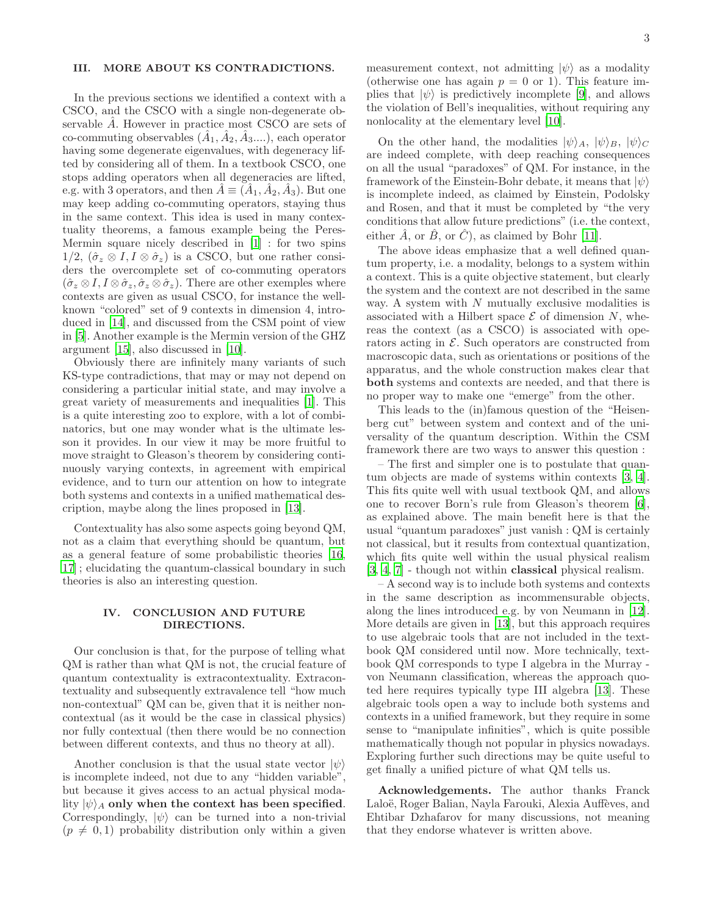# III. MORE ABOUT KS CONTRADICTIONS.

In the previous sections we identified a context with a CSCO, and the CSCO with a single non-degenerate observable A. However in practice most CSCO are sets of co-commuting observables  $(\hat{A}_1, \hat{A}_2, \hat{A}_3, \ldots)$ , each operator having some degenerate eigenvalues, with degeneracy lifted by considering all of them. In a textbook CSCO, one stops adding operators when all degeneracies are lifted, e.g. with 3 operators, and then  $\hat{A} \equiv (\hat{A}_1, \hat{A}_2, \hat{A}_3)$ . But one may keep adding co-commuting operators, staying thus in the same context. This idea is used in many contextuality theorems, a famous example being the Peres-Mermin square nicely described in [\[1\]](#page-3-0) : for two spins  $1/2$ ,  $(\hat{\sigma}_z \otimes I, I \otimes \hat{\sigma}_z)$  is a CSCO, but one rather considers the overcomplete set of co-commuting operators  $(\hat{\sigma}_z \otimes I, I \otimes \hat{\sigma}_z, \hat{\sigma}_z \otimes \hat{\sigma}_z)$ . There are other exemples where contexts are given as usual CSCO, for instance the wellknown "colored" set of 9 contexts in dimension 4, introduced in [\[14\]](#page-3-6), and discussed from the CSM point of view in [\[5](#page-3-7)]. Another example is the Mermin version of the GHZ argument [\[15](#page-3-8)], also discussed in [\[10\]](#page-3-9).

Obviously there are infinitely many variants of such KS-type contradictions, that may or may not depend on considering a particular initial state, and may involve a great variety of measurements and inequalities [\[1](#page-3-0)]. This is a quite interesting zoo to explore, with a lot of combinatorics, but one may wonder what is the ultimate lesson it provides. In our view it may be more fruitful to move straight to Gleason's theorem by considering continuously varying contexts, in agreement with empirical evidence, and to turn our attention on how to integrate both systems and contexts in a unified mathematical description, maybe along the lines proposed in [\[13\]](#page-3-10).

Contextuality has also some aspects going beyond QM, not as a claim that everything should be quantum, but as a general feature of some probabilistic theories [\[16](#page-3-11), [17\]](#page-3-12) ; elucidating the quantum-classical boundary in such theories is also an interesting question.

### IV. CONCLUSION AND FUTURE DIRECTIONS.

Our conclusion is that, for the purpose of telling what QM is rather than what QM is not, the crucial feature of quantum contextuality is extracontextuality. Extracontextuality and subsequently extravalence tell "how much non-contextual" QM can be, given that it is neither noncontextual (as it would be the case in classical physics) nor fully contextual (then there would be no connection between different contexts, and thus no theory at all).

Another conclusion is that the usual state vector  $|\psi\rangle$ is incomplete indeed, not due to any "hidden variable", but because it gives access to an actual physical modality  $|\psi\rangle_A$  only when the context has been specified. Correspondingly,  $|\psi\rangle$  can be turned into a non-trivial  $(p \neq 0, 1)$  probability distribution only within a given

measurement context, not admitting  $|\psi\rangle$  as a modality (otherwise one has again  $p = 0$  or 1). This feature implies that  $|\psi\rangle$  is predictively incomplete [\[9\]](#page-3-13), and allows the violation of Bell's inequalities, without requiring any nonlocality at the elementary level [\[10\]](#page-3-9).

On the other hand, the modalities  $|\psi\rangle_A$ ,  $|\psi\rangle_B$ ,  $|\psi\rangle_C$ are indeed complete, with deep reaching consequences on all the usual "paradoxes" of QM. For instance, in the framework of the Einstein-Bohr debate, it means that  $|\psi\rangle$ is incomplete indeed, as claimed by Einstein, Podolsky and Rosen, and that it must be completed by "the very conditions that allow future predictions" (i.e. the context, either  $\hat{A}$ , or  $\hat{B}$ , or  $\hat{C}$ ), as claimed by Bohr [\[11](#page-3-14)].

The above ideas emphasize that a well defined quantum property, i.e. a modality, belongs to a system within a context. This is a quite objective statement, but clearly the system and the context are not described in the same way. A system with  $N$  mutually exclusive modalities is associated with a Hilbert space  $\mathcal E$  of dimension N, whereas the context (as a CSCO) is associated with operators acting in  $\mathcal{E}$ . Such operators are constructed from macroscopic data, such as orientations or positions of the apparatus, and the whole construction makes clear that both systems and contexts are needed, and that there is no proper way to make one "emerge" from the other.

This leads to the (in)famous question of the "Heisenberg cut" between system and context and of the universality of the quantum description. Within the CSM framework there are two ways to answer this question :

– The first and simpler one is to postulate that quantum objects are made of systems within contexts [\[3](#page-3-15), [4\]](#page-3-2). This fits quite well with usual textbook QM, and allows one to recover Born's rule from Gleason's theorem [\[6\]](#page-3-4), as explained above. The main benefit here is that the usual "quantum paradoxes" just vanish : QM is certainly not classical, but it results from contextual quantization, which fits quite well within the usual physical realism [\[3,](#page-3-15) [4,](#page-3-2) [7\]](#page-3-3) - though not within classical physical realism.

– A second way is to include both systems and contexts in the same description as incommensurable objects, along the lines introduced e.g. by von Neumann in [\[12\]](#page-3-16). More details are given in [\[13\]](#page-3-10), but this approach requires to use algebraic tools that are not included in the textbook QM considered until now. More technically, textbook QM corresponds to type I algebra in the Murray von Neumann classification, whereas the approach quoted here requires typically type III algebra [\[13\]](#page-3-10). These algebraic tools open a way to include both systems and contexts in a unified framework, but they require in some sense to "manipulate infinities", which is quite possible mathematically though not popular in physics nowadays. Exploring further such directions may be quite useful to get finally a unified picture of what QM tells us.

Acknowledgements. The author thanks Franck Laloë, Roger Balian, Nayla Farouki, Alexia Auffèves, and Ehtibar Dzhafarov for many discussions, not meaning that they endorse whatever is written above.